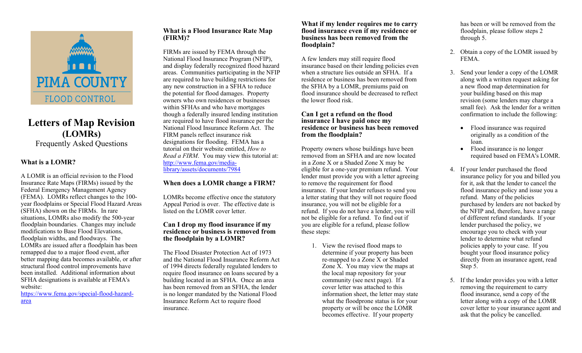

# **Letters of Map Revision (LOMRs)** Frequently Asked Questions

# **What is a LOMR?**

A LOMR is an official revision to the Flood Insurance Rate Maps (FIRMs) issued by the Federal Emergency Management Agency (FEMA). LOMRs reflect changes to the 100 year floodplains or Special Flood Hazard Areas (SFHA) shown on the FIRMs. In rare situations, LOMRs also modify the 500-year floodplain boundaries. Changes may include modifications to Base Flood Elevations, floodplain widths, and floodways. The LOMRs are issued after a floodplain has been remapped due to a major flood event, after better mapping data becomes available, or after structural flood control improvements have been installed. Additional information about SFHA designations is available at FEMA's website:

https://www.fema.gov/special-flood-hazardarea

# **What is a Flood Insurance Rate Map (FIRM)?**

FIRMs are issued by FEMA through the National Flood Insurance Program (NFIP), and display federally recognized flood hazard areas. Communities participating in the NFIP are required to have building restrictions for any new construction in a SFHA to reduce the potential for flood damages. Property owners who own residences or businesses within SFHAs and who have mortgages though a federally insured lending institution are required to have flood insurance per the National Flood Insurance Reform Act. The FIRM panels reflect insurance risk designations for flooding. FEMA has a tutorial on their website entitled, *How to Read a FIRM*. You may view this tutorial at: http://www.fema.gov/medialibrary/assets/documents/7984

# **When does a LOMR change a FIRM?**

LOMRs become effective once the statutory Appeal Period is over. The effective date is listed on the LOMR cover letter.

## **Can I drop my flood insurance if my residence or business is removed from the floodplain by a LOMR?**

The Flood Disaster Protection Act of 1973 and the National Flood Insurance Reform Act of 1994 directs federally regulated lenders to require flood insurance on loans secured by a building located in an SFHA. Once an area has been removed from an SFHA, the lender is no longer mandated by the National Flood Insurance Reform Act to require flood insurance.

#### **What if my lender requires me to carry flood insurance even if my residence or business has been removed from the floodplain?**

A few lenders may still require flood insurance based on their lending policies even when a structure lies outside an SFHA. If a residence or business has been removed from the SFHA by a LOMR, premiums paid on flood insurance should be decreased to reflect the lower flood risk.

## **Can I get a refund on the flood insurance I have paid once my residence or business has been removed from the floodplain?**

Property owners whose buildings have been removed from an SFHA and are now located in a Zone X or a Shaded Zone X may be eligible for a one-year premium refund. Your lender must provide you with a letter agreeing to remove the requirement for flood insurance. If your lender refuses to send you a letter stating that they will not require flood insurance, you will not be eligible for a refund. If you do not have a lender, you will not be eligible for a refund. To find out if you are eligible for a refund, please follow these steps:

> 1. View the revised flood maps to determine if your property has been re-mapped to a Zone X or Shaded Zone  $\hat{X}$ . You may view the maps at the local map repository for your community (see next page). If a cover letter was attached to this information sheet, the letter may state what the floodprone status is for your property or will be once the LOMR becomes effective. If your property

has been or will be removed from the floodplain, please follow steps 2 through 5.

- 2. Obtain a copy of the LOMR issued by FEMA.
- 3. Send your lender a copy of the LOMR along with a written request asking for a new flood map determination for your building based on this map revision (some lenders may charge a small fee). Ask the lender for a written confirmation to include the following:
	- Flood insurance was required originally as a condition of the loan.
	- Flood insurance is no longer required based on FEMA's LOMR.
- 4. If your lender purchased the flood insurance policy for you and billed you for it, ask that the lender to cancel the flood insurance policy and issue you a refund. Many of the policies purchased by lenders are not backed by the NFIP and, therefore, have a range of different refund standards. If your lender purchased the policy, we encourage you to check with your lender to determine what refund policies apply to your case. If you bought your flood insurance policy directly from an insurance agent, read Step 5.
- 5. If the lender provides you with a letter removing the requirement to carry flood insurance, send a copy of the letter along with a copy of the LOMR cover letter to your insurance agent and ask that the policy be cancelled.